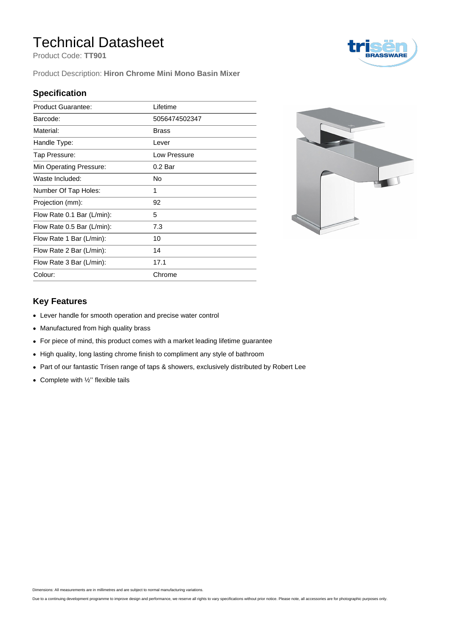## Technical Datasheet

Product Code: **TT901**

Product Description: **Hiron Chrome Mini Mono Basin Mixer**

#### **Specification**

| Lifetime           |
|--------------------|
| 5056474502347      |
| <b>Brass</b>       |
| Lever              |
| Low Pressure       |
| 0.2 <sub>Bar</sub> |
| No                 |
| 1                  |
| 92                 |
| 5                  |
| 7.3                |
| 10                 |
| 14                 |
| 17.1               |
| Chrome             |
|                    |



#### **Key Features**

- Lever handle for smooth operation and precise water control
- Manufactured from high quality brass
- For piece of mind, this product comes with a market leading lifetime guarantee
- High quality, long lasting chrome finish to compliment any style of bathroom
- Part of our fantastic Trisen range of taps & showers, exclusively distributed by Robert Lee
- Complete with  $\frac{1}{2}$ " flexible tails

Dimensions: All measurements are in millimetres and are subject to normal manufacturing variations.

Due to a continuing development programme to improve design and performance, we reserve all rights to vary specifications without prior notice. Please note, all accessories are for photographic purposes only.